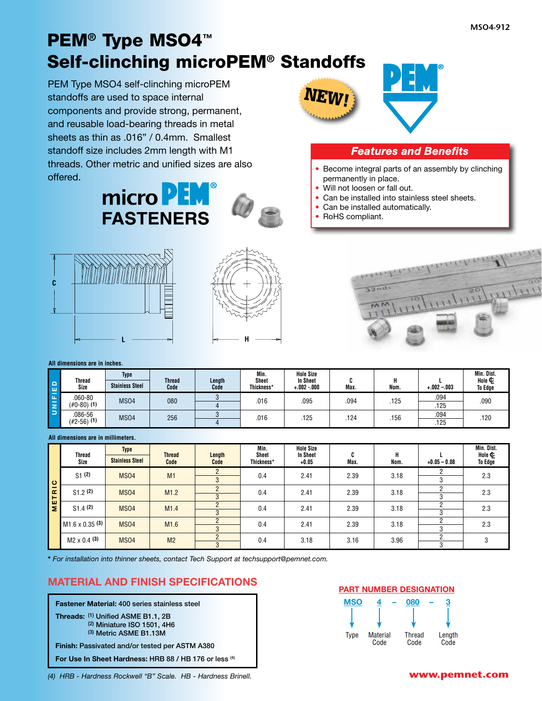# PEM**®** Type MSO4**™** Self-clinching microPEM**®** Standoffs

PEM Type MSO4 self-clinching microPEM standoffs are used to space internal components and provide strong, permanent, and reusable load-bearing threads in metal sheets as thin as .016" / 0.4mm. Smallest standoff size includes 2mm length with M1 threads. Other metric and unified sizes are also offered.





#### *Features and Benefits*

- Become integral parts of an assembly by clinching permanently in place.
- Will not loosen or fall out.
- Can be installed into stainless steel sheets.
- Can be installed automatically.
- RoHS compliant.







#### **All dimensions are in inches.**

| ہ ا<br>ப                                        | <b>Thread</b><br>Size     | <b>Type</b><br><b>Stainless Steel</b> | <b>Thread</b><br>Code | Length<br>Code | Min.<br>Sheet<br>Thickness' | <b>Hole Size</b><br><b>In Sheet</b><br>$+.002-.000$ | Max. | Nom. | $+.002-.003$ | Min. Dist.<br>Hole $\Phi$<br>To Edge |
|-------------------------------------------------|---------------------------|---------------------------------------|-----------------------|----------------|-----------------------------|-----------------------------------------------------|------|------|--------------|--------------------------------------|
| 同<br>$\overline{\phantom{a}}$<br>$\overline{z}$ | 060-80<br>$(\#0-80)$ (1)  | <b>MS04</b>                           | 080                   |                | .016                        | .095                                                | .094 | .125 | .094<br>.125 | .090                                 |
| $\Box$                                          | .086-56<br>$(\#2-56)$ (1) | <b>MS04</b>                           | 256                   |                | .016                        | .125                                                | 124  | .156 | .094<br>.125 | .120                                 |

#### **All dimensions are in millimeters.**

|                                                                                 | <b>Thread</b><br>Size                                                                                                                                                                                  | <b>Type</b><br><b>Stainless Steel</b>                   | <b>Thread</b><br>Code | Length<br>Code                   | Min.<br><b>Sheet</b><br>Thickness* | <b>Hole Size</b><br><b>In Sheet</b><br>$+.002-.000$ | C<br>Max.                 | н<br>Nom.                                        | $+.002-.003$                              | Min. Dist.<br>Hole $\Phi$<br>To Edge        |
|---------------------------------------------------------------------------------|--------------------------------------------------------------------------------------------------------------------------------------------------------------------------------------------------------|---------------------------------------------------------|-----------------------|----------------------------------|------------------------------------|-----------------------------------------------------|---------------------------|--------------------------------------------------|-------------------------------------------|---------------------------------------------|
| UNIFIED                                                                         | $.060 - 80$<br>$(\#0-80)$ (1)                                                                                                                                                                          | <b>MS04</b>                                             | 080                   | 3<br>$\overline{4}$              | .016                               | .095                                                | .094                      | .125                                             | .094<br>.125                              | .090                                        |
|                                                                                 | .086-56<br>$(\#2-56)$ (1)                                                                                                                                                                              | <b>MS04</b>                                             | 256                   | 3<br>$\overline{4}$              | .016                               | .125                                                | .124                      | .156                                             | .094<br>.125                              | .120                                        |
|                                                                                 | All dimensions are in millimeters.                                                                                                                                                                     |                                                         |                       |                                  |                                    |                                                     |                           |                                                  |                                           |                                             |
|                                                                                 | <b>Thread</b><br>Size                                                                                                                                                                                  | <b>Type</b><br><b>Stainless Steel</b>                   | <b>Thread</b><br>Code | Length<br>Code                   | Min.<br><b>Sheet</b><br>Thickness* | <b>Hole Size</b><br><b>In Sheet</b><br>$+0.05$      | C<br>Max.                 | н<br>Nom.                                        | $+0.05 - 0.08$                            | Min. Dist.<br>Hole $\Phi$<br><b>To Edge</b> |
|                                                                                 | S1(2)                                                                                                                                                                                                  | <b>MS04</b>                                             | M1                    | $\overline{2}$<br>3              | 0.4                                | 2.41                                                | 2.39                      | 3.18                                             | 2<br>3                                    | 2.3                                         |
| TRIC                                                                            | S1.2(2)                                                                                                                                                                                                | <b>MS04</b>                                             | M1.2                  | $\overline{2}$<br>3              | 0.4                                | 2.41                                                | 2.39                      | 3.18                                             | $\overline{c}$<br>3                       | 2.3                                         |
| ш<br>Σ                                                                          | S1.4(2)                                                                                                                                                                                                | <b>MS04</b>                                             | M1.4                  | $\overline{2}$<br>$\overline{3}$ | 0.4                                | 2.41                                                | 2.39                      | 3.18                                             | $\overline{\mathbf{c}}$<br>$\overline{3}$ | 2.3                                         |
|                                                                                 | $M1.6 \times 0.35$ (3)                                                                                                                                                                                 | <b>MS04</b>                                             | M <sub>1.6</sub>      | $\overline{2}$<br>3              | 0.4                                | 2.41                                                | 2.39                      | 3.18                                             | $\overline{2}$<br>3                       | 2.3                                         |
|                                                                                 | $M2 \times 0.4$ (3)                                                                                                                                                                                    | <b>MS04</b>                                             | M <sub>2</sub>        | $\overline{2}$<br>$\overline{3}$ | 0.4                                | 3.18                                                | 3.16                      | 3.96                                             | $\overline{\mathbf{c}}$<br>$\overline{3}$ | 3                                           |
|                                                                                 | * For installation into thinner sheets, contact Tech Support at techsupport@pemnet.com.<br><b>MATERIAL AND FINISH SPECIFICATIONS</b>                                                                   |                                                         |                       |                                  |                                    |                                                     |                           |                                                  |                                           |                                             |
|                                                                                 |                                                                                                                                                                                                        |                                                         |                       |                                  |                                    |                                                     |                           | <b>PART NUMBER DESIGNATION</b>                   |                                           |                                             |
|                                                                                 | <b>Fastener Material: 400 series stainless steel</b><br>Threads: (1) Unified ASME B1.1, 2B<br>Finish: Passivated and/or tested per ASTM A380<br>For Use In Sheet Hardness: HRB 88 / HB 176 or less (4) | $(2)$ Miniature ISO 1501, 4H6<br>(3) Metric ASME B1.13M |                       |                                  |                                    |                                                     | <b>MSO</b><br><b>Type</b> | 080<br>Material<br><b>Thread</b><br>Code<br>Code | 3<br>Length<br>Code                       |                                             |
| www.pemnet.com<br>(4) HRB - Hardness Rockwell "B" Scale. HB - Hardness Brinell. |                                                                                                                                                                                                        |                                                         |                       |                                  |                                    |                                                     |                           |                                                  |                                           |                                             |

#### **MATERIAL AND FINISH SPECIFICATIONS**

#### **PART NUMBER DESIGNATION**